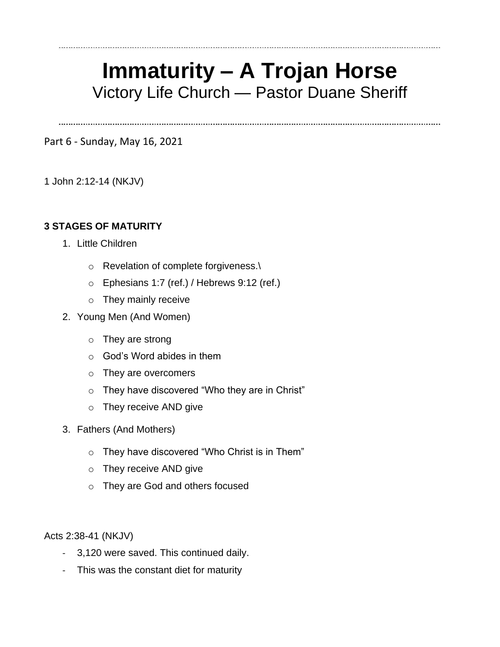# **Immaturity – A Trojan Horse** Victory Life Church — Pastor Duane Sheriff

Part 6 - Sunday, May 16, 2021

1 John 2:12-14 (NKJV)

#### **3 STAGES OF MATURITY**

- 1. Little Children
	- o Revelation of complete forgiveness.\
	- o Ephesians 1:7 (ref.) / Hebrews 9:12 (ref.)
	- o They mainly receive
- 2. Young Men (And Women)
	- o They are strong
	- $\circ$  God's Word abides in them
	- o They are overcomers
	- o They have discovered "Who they are in Christ"
	- o They receive AND give
- 3. Fathers (And Mothers)
	- o They have discovered "Who Christ is in Them"
	- o They receive AND give
	- o They are God and others focused

Acts 2:38-41 (NKJV)

- 3,120 were saved. This continued daily.
- This was the constant diet for maturity